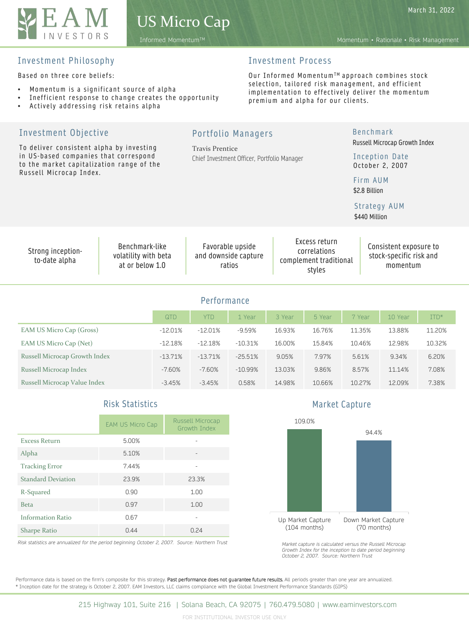

Based on three core beliefs:

Investment Objective

- Momentum is a significant source of alpha
- Inefficient response to change creates the opportunity
- Actively addressing risk retains alpha

To deliver consistent alpha by investing

# Investment Process

Our Informed Momentum™ approach combines stock selection, tailored risk management, and efficient implementation to effectively deliver the momentum premium and alpha for our clients.

Benchmark

Russell Microcap Growth Index

Chief Investment Officer, Portfolio Manager **Performance** QTD | YTD | 1 Year | 3 Year | 5 Year | 7 Year | 10 Year | ITD\* EAM US Micro Cap (Gross) -12.01% -12.01% -9.59% 16.93% 16.76% 11.35% 13.88% 11.20% EAM US Micro Cap (Net) -12.18% -12.18% -12.18% -10.31% 16.00% 15.84% 10.46% 12.98% 10.32% Russell Microcap Growth Index -13.71% -13.71% -25.51% 9.05% 7.97% 5.61% 9.34% 6.20% Russell Microcap Index -7.60% -7.60% -10.99% 13.03% 9.86% 8.57% 11.14% 7.08% Russell Microcap Value Index -3.45% -3.45% 0.58% 14.98% 10.66% 10.27% 12.09% 7.38% in US-based companies that correspond to the market capitalization range of the Russell Microcap Index. Inception Date October 2, 2007 Firm AUM \$2.8 Billion Strong inceptionto-date alpha Benchmark-like volatility with beta at or below 1.0 Favorable upside and downside capture ratios Excess return correlations complement traditional styles Consistent exposure to stock-specific risk and momentum Strategy AUM \$440 Million

Portfolio Managers

Travis Prentice

|                           | EAM US Micro Cap | Russell Microcap<br>Growth Index |
|---------------------------|------------------|----------------------------------|
| <b>Excess Return</b>      | 5.00%            |                                  |
| Alpha                     | 5.10%            |                                  |
| <b>Tracking Error</b>     | 7.44%            |                                  |
| <b>Standard Deviation</b> | 23.9%            | 23.3%                            |
| R-Squared                 | 0.90             | 1.00                             |
| <b>Beta</b>               | 0.97             | 1.00                             |
| <b>Information Ratio</b>  | 0.67             |                                  |
| <b>Sharpe Ratio</b>       | 0.44             | 0.24                             |

*Risk statistics are annualized for the period beginning October 2, 2007. Source: Northern Trust*

Risk Statistics **Market Capture** 



*Market capture is calculated versus the Russell Microcap Growth Index for the inception to date period beginning October 2, 2007. Source: Northern Trust*

Performance data is based on the firm's composite for this strategy. Past performance does not guarantee future results. All periods greater than one year are annualized. \* Inception date for the strategy is October 2, 2007. EAM Investors, LLC claims compliance with the Global Investment Performance Standards (GIPS)

Informed MomentumTM Momentum • Rationale • Risk Management